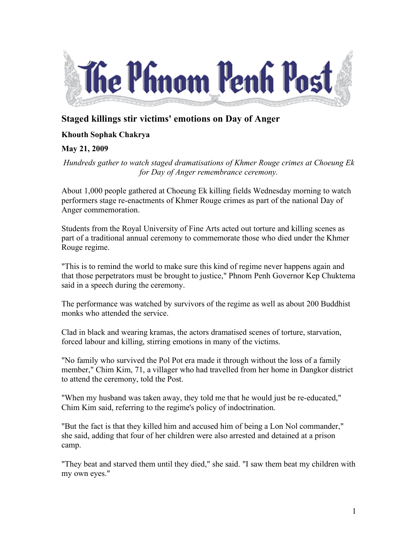

## **Staged killings stir victims' emotions on Day of Anger**

## **Khouth Sophak Chakrya**

## **May 21, 2009**

*Hundreds gather to watch staged dramatisations of Khmer Rouge crimes at Choeung Ek for Day of Anger remembrance ceremony.*

About 1,000 people gathered at Choeung Ek killing fields Wednesday morning to watch performers stage re-enactments of Khmer Rouge crimes as part of the national Day of Anger commemoration.

Students from the Royal University of Fine Arts acted out torture and killing scenes as part of a traditional annual ceremony to commemorate those who died under the Khmer Rouge regime.

"This is to remind the world to make sure this kind of regime never happens again and that those perpetrators must be brought to justice," Phnom Penh Governor Kep Chuktema said in a speech during the ceremony.

The performance was watched by survivors of the regime as well as about 200 Buddhist monks who attended the service.

Clad in black and wearing kramas, the actors dramatised scenes of torture, starvation, forced labour and killing, stirring emotions in many of the victims.

"No family who survived the Pol Pot era made it through without the loss of a family member," Chim Kim, 71, a villager who had travelled from her home in Dangkor district to attend the ceremony, told the Post.

"When my husband was taken away, they told me that he would just be re-educated," Chim Kim said, referring to the regime's policy of indoctrination.

"But the fact is that they killed him and accused him of being a Lon Nol commander," she said, adding that four of her children were also arrested and detained at a prison camp.

"They beat and starved them until they died," she said. "I saw them beat my children with my own eyes."